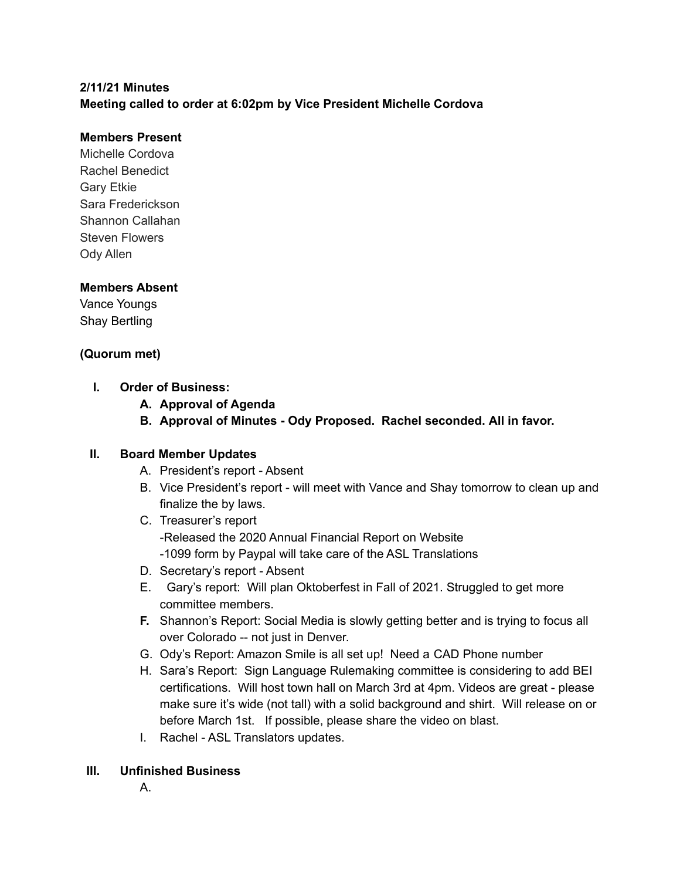## **2/11/21 Minutes**

**Meeting called to order at 6:02pm by Vice President Michelle Cordova**

#### **Members Present**

Michelle Cordova Rachel Benedict Gary Etkie Sara Frederickson Shannon Callahan Steven Flowers Ody Allen

## **Members Absent**

Vance Youngs Shay Bertling

## **(Quorum met)**

- **I. Order of Business:**
	- **A. Approval of Agenda**
	- **B. Approval of Minutes - Ody Proposed. Rachel seconded. All in favor.**

#### **II. Board Member Updates**

- A. President's report Absent
- B. Vice President's report will meet with Vance and Shay tomorrow to clean up and finalize the by laws.
- C. Treasurer's report -Released the 2020 Annual Financial Report on Website -1099 form by Paypal will take care of the ASL Translations
- D. Secretary's report Absent
- E. Gary's report: Will plan Oktoberfest in Fall of 2021. Struggled to get more committee members.
- **F.** Shannon's Report: Social Media is slowly getting better and is trying to focus all over Colorado -- not just in Denver.
- G. Ody's Report: Amazon Smile is all set up! Need a CAD Phone number
- H. Sara's Report: Sign Language Rulemaking committee is considering to add BEI certifications. Will host town hall on March 3rd at 4pm. Videos are great - please make sure it's wide (not tall) with a solid background and shirt. Will release on or before March 1st. If possible, please share the video on blast.
- I. Rachel ASL Translators updates.

#### **III. Unfinished Business**

A.